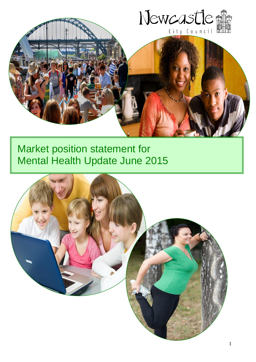

# Market position statement for Mental Health Update June 2015

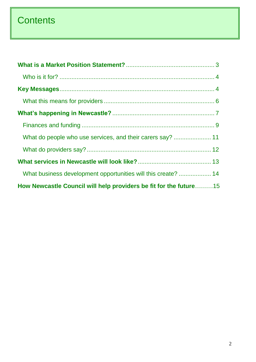# **Contents**

| What business development opportunities will this create?  14     |  |
|-------------------------------------------------------------------|--|
| How Newcastle Council will help providers be fit for the future15 |  |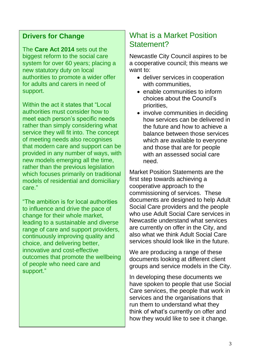### **Drivers for Change**

The **Care Act 2014** sets out the biggest reform to the social care system for over 60 years; placing a new statutory duty on local authorities to promote a wider offer for adults and carers in need of support.

Within the act it states that "Local authorities must consider how to meet each person's specific needs rather than simply considering what service they will fit into. The concept of meeting needs also recognises that modern care and support can be provided in any number of ways, with new models emerging all the time, rather than the previous legislation which focuses primarily on traditional models of residential and domiciliary care."

"The ambition is for local authorities to influence and drive the pace of change for their whole market, leading to a sustainable and diverse range of care and support providers, continuously improving quality and choice, and delivering better, innovative and cost-effective outcomes that promote the wellbeing of people who need care and support."

# <span id="page-2-0"></span>What is a Market Position Statement?

Newcastle City Council aspires to be a cooperative council; this means we want to:

- deliver services in cooperation with communities,
- enable communities to inform choices about the Council's priorities,
- involve communities in deciding how services can be delivered in the future and how to achieve a balance between those services which are available to everyone and those that are for people with an assessed social care need.

Market Position Statements are the first step towards achieving a cooperative approach to the commissioning of services. These documents are designed to help Adult Social Care providers and the people who use Adult Social Care services in Newcastle understand what services are currently on offer in the City, and also what we think Adult Social Care services should look like in the future.

We are producing a range of these documents looking at different client groups and service models in the City.

In developing these documents we have spoken to people that use Social Care services, the people that work in services and the organisations that run them to understand what they think of what's currently on offer and how they would like to see it change.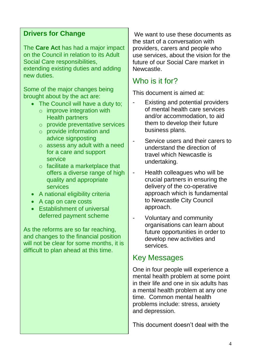### **Drivers for Change**

The **Care Act** has had a major impact on the Council in relation to its Adult Social Care responsibilities, extending existing duties and adding new duties.

Some of the major changes being brought about by the act are:

- The Council will have a duty to:
	- $\circ$  improve integration with Health partners
	- o provide preventative services
	- o provide information and advice signposting
	- o assess any adult with a need for a care and support service
	- o facilitate a marketplace that offers a diverse range of high quality and appropriate services
- A national eligibility criteria
- A cap on care costs
- Establishment of universal deferred payment scheme

As the reforms are so far reaching, and changes to the financial position will not be clear for some months, it is difficult to plan ahead at this time.

We want to use these documents as the start of a conversation with providers, carers and people who use services, about the vision for the future of our Social Care market in **Newcastle** 

## <span id="page-3-0"></span>Who is it for?

This document is aimed at:

- Existing and potential providers of mental health care services and/or accommodation, to aid them to develop their future business plans.
- Service users and their carers to understand the direction of travel which Newcastle is undertaking.
- Health colleagues who will be crucial partners in ensuring the delivery of the co-operative approach which is fundamental to Newcastle City Council approach.
- Voluntary and community organisations can learn about future opportunities in order to develop new activities and services.

### <span id="page-3-1"></span>Key Messages

One in four people will experience a mental health problem at some point in their life and one in six adults has a mental health problem at any one time. Common mental health problems include: stress, anxiety and depression.

This document doesn't deal with the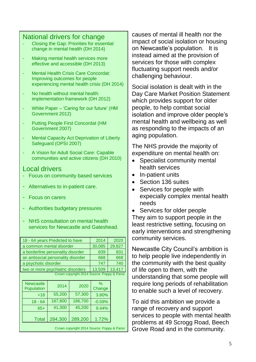#### National drivers for change

- Closing the Gap: Priorities for essential change in mental health (DH 2014)
- Making mental health services more effective and accessible (DH 2013)
- Mental Health Crisis Care Concordat: Improving outcomes for people experiencing mental health crisis (DH 2014)
- No health without mental health: implementation framework (DH 2012)
- White Paper 'Caring for our future' (HM Government 2012)
- Putting People First Concordat (HM Government 2007)
- Mental Capacity Act Deprivation of Liberty Safeguard (OPSI 2007)
- A Vision for Adult Social Care: Capable communities and active citizens (DH 2010)

#### Local drivers

- Focus on community based services
- Alternatives to in-patient care.
- Focus on carers
- Authorities budgetary pressures
- NHS consultation on mental health services for Newcastle and Gateshead.

18 - 64 years Predicted to have 2014 2020 a common mental disorder 130,085 29,827 a borderline personality disorder | 839 831 an antisocial personality disorder | 668 668 a psychotic disorder 1991 1992 1994 1995 1996 two or more psychiatric disorders | 13,509 | 13,417 Crown copyright 2014 Source: Poppy & Pansi

| <b>Newcastle</b><br>Population | 2014    | 2020    | %<br>Change |  |
|--------------------------------|---------|---------|-------------|--|
| ~18                            | 55,200  | 57,300  | 3.80%       |  |
| $18 - 64$                      | 187,800 | 186,700 | $-0.59%$    |  |
| $65+$                          | 41,300  | 45,200  | 9.44%       |  |
| Total                          | 284,300 | 289,200 | 1.72%       |  |

Crown copyright 2014 Source: Poppy & Pansi

causes of mental ill health nor the impact of social isolation or housing on Newcastle's population. It is instead aimed at the provision of services for those with complex fluctuating support needs and/or challenging behaviour.

Social isolation is dealt with in the Day Care Market Position Statement which provides support for older people, to help combat social isolation and improve older people's mental health and wellbeing as well as responding to the impacts of an aging population.

The NHS provide the majority of expenditure on mental health on:

- Specialist community mental health services
- In-patient units
- Section 136 suites
- Services for people with expecially complex mental health needs
- Services for older people They aim to support people in the least restrictive setting, focusing on early interventions and strengthening community services.

Newcastle City Council's ambition is to help people live independently in the community with the best quality of life open to them, with the understanding that some people will require long periods of rehabilitation to enable such a level of recovery.

To aid this ambition we provide a range of recovery and support services to people with mental health problems at 49 Scrogg Road, Beech Grove Road and in the community.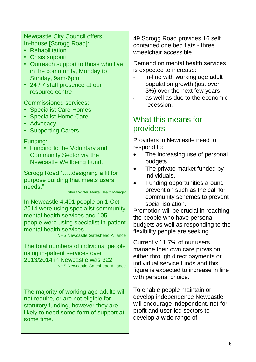Newcastle City Council offers: In-house [Scrogg Road]:

- Rehabilitation
- Crisis support
- Outreach support to those who live in the community, Monday to Sunday, 9am-6pm
- 24 / 7 staff presence at our resource centre

Commissioned services:

- Specialist Care Homes
- Specialist Home Care
- Advocacy
- Supporting Carers

#### Funding:

• Funding to the Voluntary and Community Sector via the Newcastle Wellbeing Fund.

Scrogg Road "…..designing a fit for purpose building that meets users' needs."

Sheila Winter, Mental Health Manager

In Newcastle 4,491 people on 1 Oct 2014 were using specialist community mental health services and 105 people were using specialist in-patient mental health services.

NHS Newcastle Gateshead Alliance

The total numbers of individual people using in-patient services over 2013/2014 in Newcastle was 322. NHS Newcastle Gateshead Alliance

The majority of working age adults will not require, or are not eligible for statutory funding, however they are likely to need some form of support at some time.

49 Scrogg Road provides 16 self contained one bed flats - three wheelchair accessible.

Demand on mental health services is expected to increase:

- in-line with working age adult population growth (just over 3%) over the next few years
- as well as due to the economic recession.

# <span id="page-5-0"></span>What this means for providers

Providers in Newcastle need to respond to:

- The increasing use of personal budgets.
- The private market funded by individuals.
- Funding opportunities around prevention such as the call for community schemes to prevent social isolation.

Promotion will be crucial in reaching the people who have personal budgets as well as responding to the flexibility people are seeking.

Currently 11.7% of our users manage their own care provision either through direct payments or individual service funds and this figure is expected to increase in line with personal choice.

To enable people maintain or develop independence Newcastle will encourage independent, not-forprofit and user-led sectors to develop a wide range of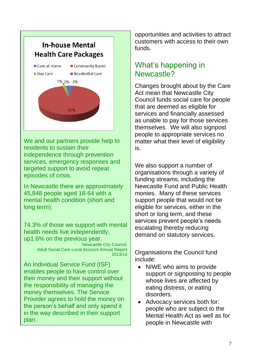

We and our partners provide help to residents to sustain their independence through prevention services, emergency responses and targeted support to avoid repeat episodes of crisis.

In Newcastle there are approximately 45,848 people aged 18-64 with a mental health condition (short and long term).

74.3% of those we support with mental health needs live independently, up1.6% on the previous year.

> Newcastle City Council: Adult Social Care Local Account Annual Report 2013/14

An Individual Service Fund (ISF) enables people to have control over their money and their support without the responsibility of managing the money themselves. The Service Provider agrees to hold the money on the person's behalf and only spend it in the way described in their support plan.

opportunities and activities to attract customers with access to their own funds.

# <span id="page-6-0"></span>What's happening in Newcastle?

Changes brought about by the Care Act mean that Newcastle City Council funds social care for people that are deemed as eligible for services and financially assessed as unable to pay for those services themselves. We will also signpost people to appropriate services no matter what their level of eligibility is.

We also support a number of organisations through a variety of funding streams, including the Newcastle Fund and Public Health monies. Many of these services support people that would not be eligible for services, either in the short or long term, and these services prevent people's needs escalating thereby reducing demand on statutory services.

Organisations the Council fund include:

- NIWE who aims to provide support or signposting to people whose lives are affected by eating distress, or eating disorders.
- Advocacy services both for: people who are subject to the Mental Health Act as well as for people in Newcastle with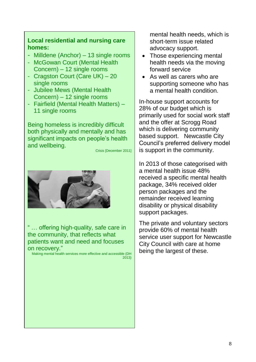#### **Local residential and nursing care homes:**

- Milldene (Anchor) 13 single rooms
- McGowan Court (Mental Health Concern) – 12 single rooms
- Cragston Court (Care UK) 20 single rooms
- Jubilee Mews (Mental Health Concern) – 12 single rooms
- Fairfield (Mental Health Matters) 11 single rooms

Being homeless is incredibly difficult both physically and mentally and has significant impacts on people's health and wellbeing.

Crisis [December 2011]



" … offering high-quality, safe care in the community, that reflects what patients want and need and focuses on recovery."

Making mental health services more effective and accessible (DH 2013)

mental health needs, which is short-term issue related advocacy support.

- Those experiencing mental health needs via the moving forward service
- As well as carers who are supporting someone who has a mental health condition.

In-house support accounts for 28% of our budget which is primarily used for social work staff and the offer at Scrogg Road which is delivering community based support. Newcastle City Council's preferred delivery model is support in the community.

In 2013 of those categorised with a mental health issue 48% received a specific mental health package, 34% received older person packages and the remainder received learning disability or physical disability support packages.

The private and voluntary sectors provide 60% of mental health service user support for Newcastle City Council with care at home being the largest of these.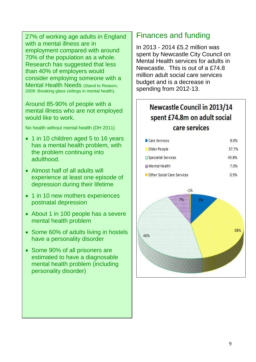27% of working age adults in England with a mental illness are in employment compared with around 70% of the population as a whole. Research has suggested that less than 40% of employers would consider employing someone with a Mental Health Needs (Stand to Reason, 2009: Breaking glass ceilings in mental health).

Around 85-90% of people with a mental illness who are not employed would like to work.

No health without mental health (DH 2011)

- 1 in 10 children aged 5 to 16 years has a mental health problem, with the problem continuing into adulthood.
- Almost half of all adults will experience at least one episode of depression during their lifetime
- 1 in 10 new mothers experiences postnatal depression
- About 1 in 100 people has a severe mental health problem
- Some 60% of adults living in hostels have a personality disorder
- Some 90% of all prisoners are estimated to have a diagnosable mental health problem (including personality disorder)

### <span id="page-8-0"></span>Finances and funding

In 2013 - 2014 £5.2 million was spent by Newcastle City Council on Mental Health services for adults in Newcastle. This is out of a £74.8 million adult social care services budget and is a decrease in spending from 2012-13.

# **Newcastle Council in 2013/14** spent £74.8m on adult social care services

| Care Services                | 9.0%  |
|------------------------------|-------|
| Older People                 | 37.7% |
| <b>B</b> Specialist Services | 45.8% |
| <b>田 Mental Health</b>       | 7.0%  |
| Other Social Care Services   | 0.5%  |

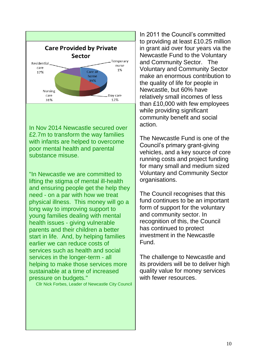

In Nov 2014 Newcastle secured over £2.7m to transform the way families with infants are helped to overcome poor mental health and parental substance misuse.

"In Newcastle we are committed to lifting the stigma of mental ill-health and ensuring people get the help they need - on a par with how we treat physical illness. This money will go a long way to improving support to young families dealing with mental health issues - giving vulnerable parents and their children a better start in life. And, by helping families earlier we can reduce costs of services such as health and social services in the longer-term - all helping to make those services more sustainable at a time of increased pressure on budgets."

Cllr Nick Forbes, Leader of Newcastle City Council

In 2011 the Council's committed to providing at least £10.25 million in grant aid over four years via the Newcastle Fund to the Voluntary and Community Sector. The Voluntary and Community Sector make an enormous contribution to the quality of life for people in Newcastle, but 60% have relatively small incomes of less than £10,000 with few employees while providing significant community benefit and social action.

The Newcastle Fund is one of the Council's primary grant-giving vehicles, and a key source of core running costs and project funding for many small and medium sized Voluntary and Community Sector organisations.

The Council recognises that this fund continues to be an important form of support for the voluntary and community sector. In recognition of this, the Council has continued to protect investment in the Newcastle Fund.

The challenge to Newcastle and its providers will be to deliver high quality value for money services with fewer resources.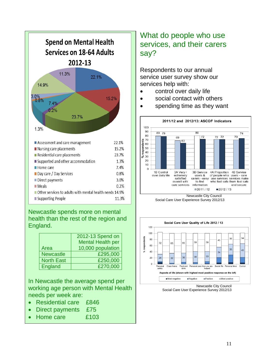

Newcastle spends more on mental health than the rest of the region and England.

|                   | 2012-13 Spend on         |  |
|-------------------|--------------------------|--|
|                   | <b>Mental Health per</b> |  |
| Area              | 10,000 population        |  |
| <b>Newcastle</b>  | £295,000                 |  |
| <b>North East</b> | £250,000                 |  |
| <b>England</b>    | £270,000                 |  |

In Newcastle the average spend per working age person with Mental Health needs per week are:

- Residential care £846
- Direct payments £75
- Home care £103

# <span id="page-10-0"></span>What do people who use services, and their carers say?

Respondents to our annual service user survey show our services help with:

- control over daily life
- social contact with others
- spending time as they want



Newcastle City Council Social Care User Experience Survey 2012/13



Newcastle City Council Social Care User Experience Survey 2012/13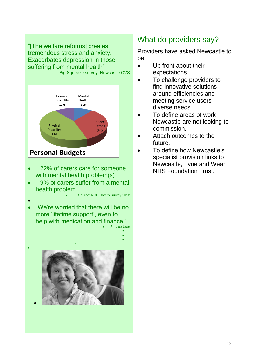

# <span id="page-11-0"></span>What do providers say?

Providers have asked Newcastle to be:

- Up front about their expectations.
- To challenge providers to find innovative solutions around efficiencies and meeting service users diverse needs.
- To define areas of work Newcastle are not looking to commission.
- Attach outcomes to the future.
- To define how Newcastle's specialist provision links to Newcastle, Tyne and Wear NHS Foundation Trust.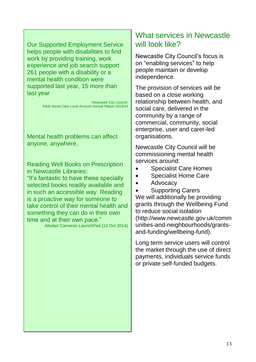Our Supported Employment Service helps people with disabilities to find work by providing training, work experience and job search support 261 people with a disability or a mental health condition were supported last year, 15 more than last year

> Newcastle City Council: Adult Social Care Local Account Annual Report 2013/14

Mental health problems can affect anyone, anywhere.

Reading Well Books on Prescription in Newcastle Libraries:

"It's fantastic to have these specially selected books readily available and in such an accessible way. Reading is a proactive way for someone to take control of their mental health and something they can do in their own time and at their own pace."

Alisdair Cameron LaunchPad (10 Oct 2014)

## What services in Newcastle will look like?

Newcastle City Council's focus is on "enabling services" to help people maintain or develop independence.

The provision of services will be based on a close working relationship between health, and social care, delivered in the community by a range of commercial, community, social enterprise, user and carer-led organisations.

Newcastle City Council will be commissioning mental health services around:

- Specialist Care Homes
- Specialist Home Care
- Advocacy

 Supporting Carers We will additionally be providing grants through the Wellbeing Fund to reduce social isolation (http://www.newcastle.gov.uk/comm unities-and-neighbourhoods/grantsand-funding/wellbeing-fund).

Long term service users will control the market through the use of direct payments, individuals service funds or private self-funded budgets.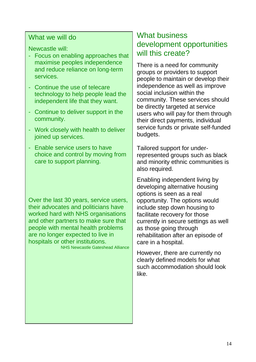#### What we will do

Newcastle will:

- Focus on enabling approaches that maximise peoples independence and reduce reliance on long-term services.
- Continue the use of telecare technology to help people lead the independent life that they want.
- Continue to deliver support in the community.
- Work closely with health to deliver joined up services.
- Enable service users to have choice and control by moving from care to support planning.

Over the last 30 years, service users, their advocates and politicians have worked hard with NHS organisations and other partners to make sure that people with mental health problems are no longer expected to live in hospitals or other institutions. NHS Newcastle Gateshead Alliance

### <span id="page-13-0"></span>What business development opportunities will this create?

There is a need for community groups or providers to support people to maintain or develop their independence as well as improve social inclusion within the community. These services should be directly targeted at service users who will pay for them through their direct payments, individual service funds or private self-funded budgets.

Tailored support for underrepresented groups such as black and minority ethnic communities is also required.

Enabling independent living by developing alternative housing options is seen as a real opportunity. The options would include step down housing to facilitate recovery for those currently in secure settings as well as those going through rehabilitation after an episode of care in a hospital.

However, there are currently no clearly defined models for what such accommodation should look like.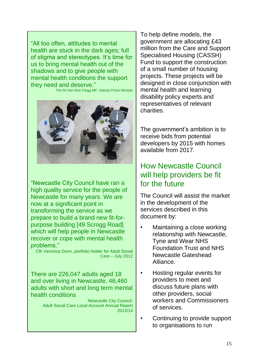"All too often, attitudes to mental health are stuck in the dark ages; full of stigma and stereotypes. It's time for us to bring mental health out of the shadows and to give people with mental health conditions the support they need and deserve."

The Rt Hon Nick Clegg MP, Deputy Prime Minister



"Newcastle City Council have ran a high quality service for the people of Newcastle for many years. We are now at a significant point in transforming the service as we prepare to build a brand new fit-forpurpose building [49 Scrogg Road] which will help people in Newcastle recover or cope with mental health problems."

Cllr Veronica Dunn, portfolio holder for Adult Social Care – July 2012

There are 226,047 adults aged 18 and over living in Newcastle, 46,460 adults with short and long term mental health conditions

> Newcastle City Council: Adult Social Care Local Account Annual Report 2013/14

To help define models, the government are allocating £43 million from the Care and Support Specialised Housing (CASSH) Fund to support the construction of a small number of housing projects. These projects will be designed in close conjunction with mental health and learning disability policy experts and representatives of relevant charities.

The government's ambition is to receive bids from potential developers by 2015 with homes available from 2017.

# <span id="page-14-0"></span>How Newcastle Council will help providers be fit for the future

The Council will assist the market in the development of the services described in this document by:

- Maintaining a close working relationship with Newcastle, Tyne and Wear NHS Foundation Trust and NHS Newcastle Gateshead Alliance.
- Hosting regular events for providers to meet and discuss future plans with other providers, social workers and Commissioners of services.
- Continuing to provide support to organisations to run